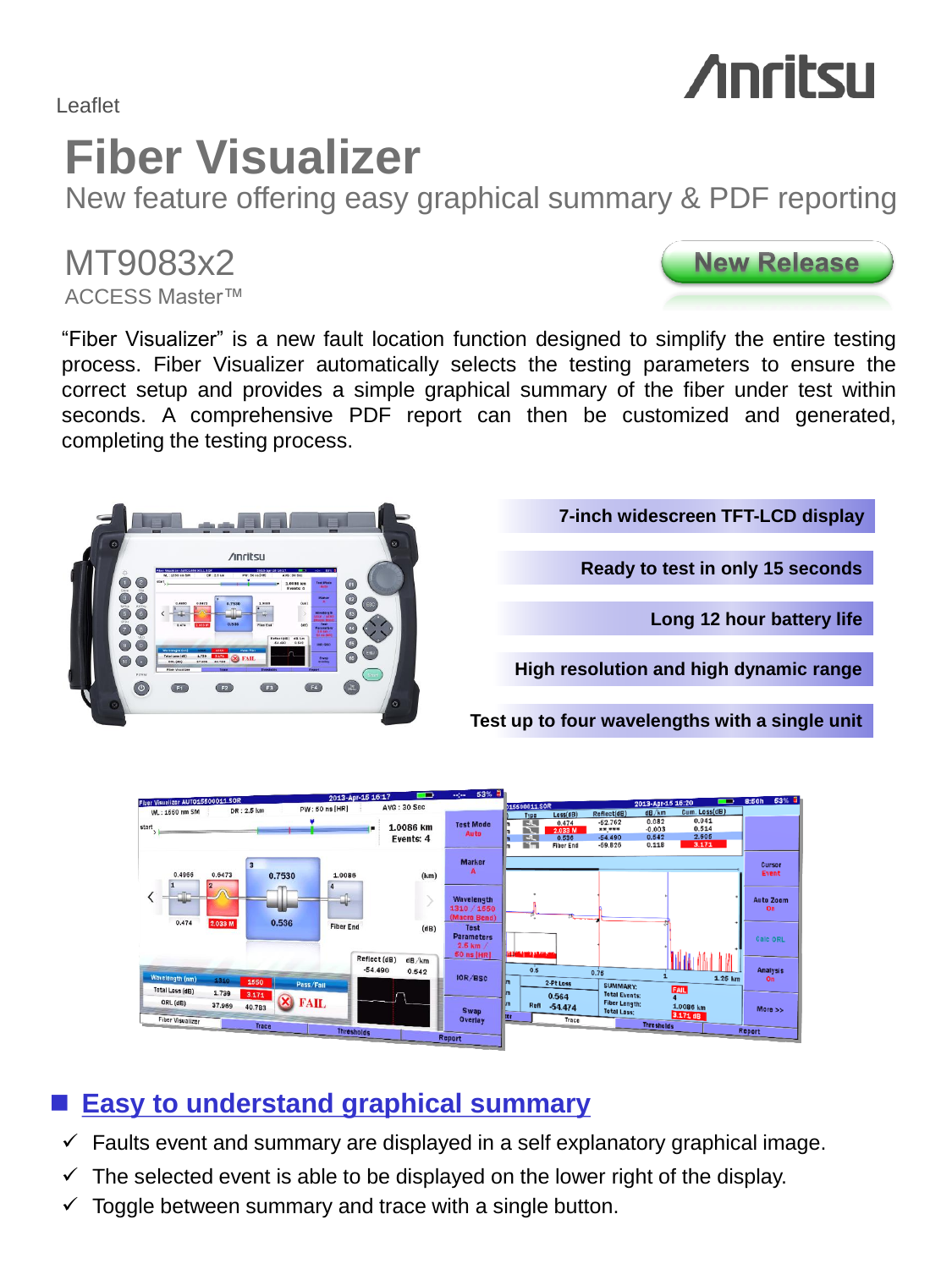Leaflet

## **Fiber Visualizer**

Anritsu

New feature offering easy graphical summary & PDF reporting

### MT9083x2

ACCESS Master™

"Fiber Visualizer" is a new fault location function designed to simplify the entire testing process. Fiber Visualizer automatically selects the testing parameters to ensure the correct setup and provides a simple graphical summary of the fiber under test within seconds. A comprehensive PDF report can then be customized and generated, completing the testing process.

#### **Easy to understand graphical summary**

- $\checkmark$  Faults event and summary are displayed in a self explanatory graphical image.
- $\checkmark$  The selected event is able to be displayed on the lower right of the display.
- $\checkmark$  Toggle between summary and trace with a single button.





# **Anritsu**

**7-inch widescreen TFT-LCD display**

**Ready to test in only 15 seconds**

**Long 12 hour battery life**

**High resolution and high dynamic range**

**Test up to four wavelengths with a single unit**